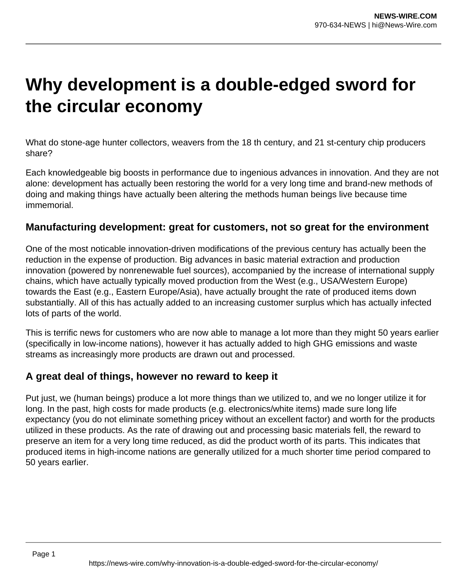# **Why development is a double-edged sword for the circular economy**

What do stone-age hunter collectors, weavers from the 18 th century, and 21 st-century chip producers share?

Each knowledgeable big boosts in performance due to ingenious advances in innovation. And they are not alone: development has actually been restoring the world for a very long time and brand-new methods of doing and making things have actually been altering the methods human beings live because time immemorial.

## **Manufacturing development: great for customers, not so great for the environment**

One of the most noticable innovation-driven modifications of the previous century has actually been the reduction in the expense of production. Big advances in basic material extraction and production innovation (powered by nonrenewable fuel sources), accompanied by the increase of international supply chains, which have actually typically moved production from the West (e.g., USA/Western Europe) towards the East (e.g., Eastern Europe/Asia), have actually brought the rate of produced items down substantially. All of this has actually added to an increasing customer surplus which has actually infected lots of parts of the world.

This is terrific news for customers who are now able to manage a lot more than they might 50 years earlier (specifically in low-income nations), however it has actually added to high GHG emissions and waste streams as increasingly more products are drawn out and processed.

## **A great deal of things, however no reward to keep it**

Put just, we (human beings) produce a lot more things than we utilized to, and we no longer utilize it for long. In the past, high costs for made products (e.g. electronics/white items) made sure long life expectancy (you do not eliminate something pricey without an excellent factor) and worth for the products utilized in these products. As the rate of drawing out and processing basic materials fell, the reward to preserve an item for a very long time reduced, as did the product worth of its parts. This indicates that produced items in high-income nations are generally utilized for a much shorter time period compared to 50 years earlier.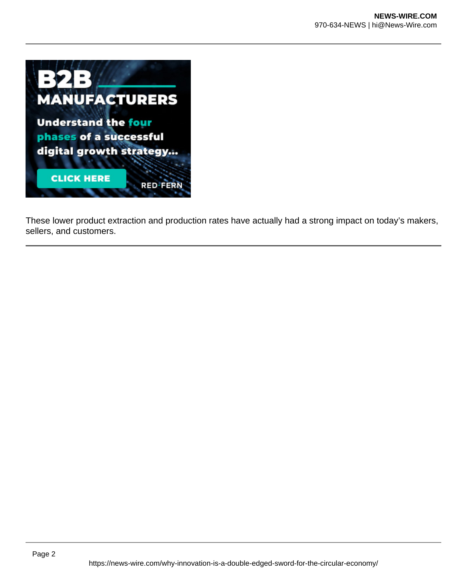

These lower product extraction and production rates have actually had a strong impact on today's makers, sellers, and customers.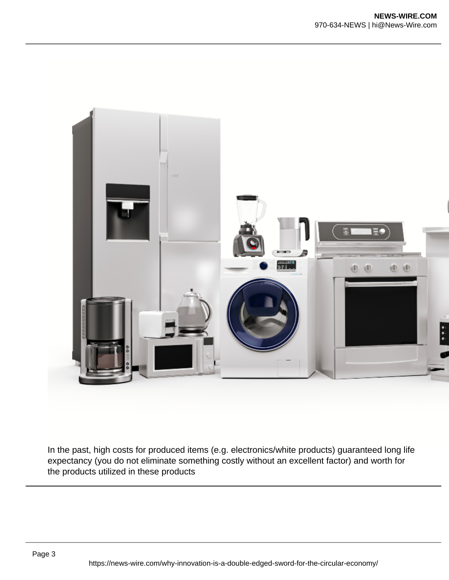

In the past, high costs for produced items (e.g. electronics/white products) guaranteed long life expectancy (you do not eliminate something costly without an excellent factor) and worth for the products utilized in these products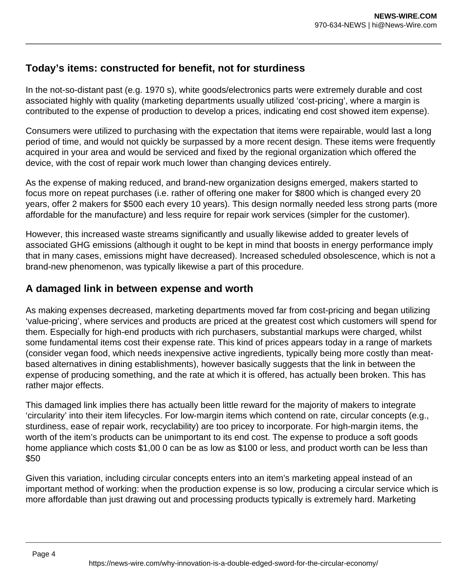## **Today's items: constructed for benefit, not for sturdiness**

In the not-so-distant past (e.g. 1970 s), white goods/electronics parts were extremely durable and cost associated highly with quality (marketing departments usually utilized 'cost-pricing', where a margin is contributed to the expense of production to develop a prices, indicating end cost showed item expense).

Consumers were utilized to purchasing with the expectation that items were repairable, would last a long period of time, and would not quickly be surpassed by a more recent design. These items were frequently acquired in your area and would be serviced and fixed by the regional organization which offered the device, with the cost of repair work much lower than changing devices entirely.

As the expense of making reduced, and brand-new organization designs emerged, makers started to focus more on repeat purchases (i.e. rather of offering one maker for \$800 which is changed every 20 years, offer 2 makers for \$500 each every 10 years). This design normally needed less strong parts (more affordable for the manufacture) and less require for repair work services (simpler for the customer).

However, this increased waste streams significantly and usually likewise added to greater levels of associated GHG emissions (although it ought to be kept in mind that boosts in energy performance imply that in many cases, emissions might have decreased). Increased scheduled obsolescence, which is not a brand-new phenomenon, was typically likewise a part of this procedure.

## **A damaged link in between expense and worth**

As making expenses decreased, marketing departments moved far from cost-pricing and began utilizing 'value-pricing', where services and products are priced at the greatest cost which customers will spend for them. Especially for high-end products with rich purchasers, substantial markups were charged, whilst some fundamental items cost their expense rate. This kind of prices appears today in a range of markets (consider vegan food, which needs inexpensive active ingredients, typically being more costly than meatbased alternatives in dining establishments), however basically suggests that the link in between the expense of producing something, and the rate at which it is offered, has actually been broken. This has rather major effects.

This damaged link implies there has actually been little reward for the majority of makers to integrate 'circularity' into their item lifecycles. For low-margin items which contend on rate, circular concepts (e.g., sturdiness, ease of repair work, recyclability) are too pricey to incorporate. For high-margin items, the worth of the item's products can be unimportant to its end cost. The expense to produce a soft goods home appliance which costs \$1,00 0 can be as low as \$100 or less, and product worth can be less than \$50

Given this variation, including circular concepts enters into an item's marketing appeal instead of an important method of working: when the production expense is so low, producing a circular service which is more affordable than just drawing out and processing products typically is extremely hard. Marketing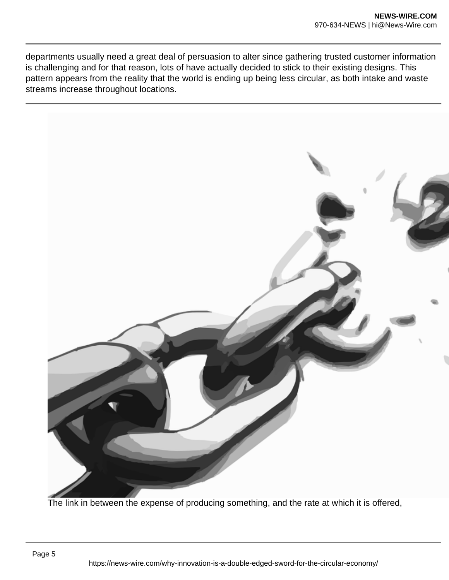departments usually need a great deal of persuasion to alter since gathering trusted customer information is challenging and for that reason, lots of have actually decided to stick to their existing designs. This pattern appears from the reality that the world is ending up being less circular, as both intake and waste streams increase throughout locations.



The link in between the expense of producing something, and the rate at which it is offered,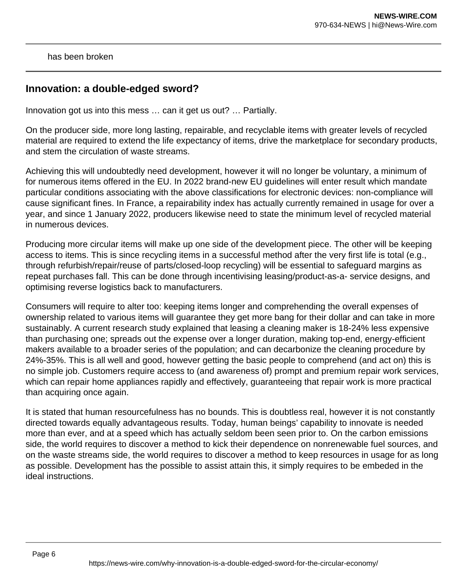has been broken

#### **Innovation: a double-edged sword?**

Innovation got us into this mess … can it get us out? … Partially.

On the producer side, more long lasting, repairable, and recyclable items with greater levels of recycled material are required to extend the life expectancy of items, drive the marketplace for secondary products, and stem the circulation of waste streams.

Achieving this will undoubtedly need development, however it will no longer be voluntary, a minimum of for numerous items offered in the EU. In 2022 brand-new EU guidelines will enter result which mandate particular conditions associating with the above classifications for electronic devices: non-compliance will cause significant fines. In France, a repairability index has actually currently remained in usage for over a year, and since 1 January 2022, producers likewise need to state the minimum level of recycled material in numerous devices.

Producing more circular items will make up one side of the development piece. The other will be keeping access to items. This is since recycling items in a successful method after the very first life is total (e.g., through refurbish/repair/reuse of parts/closed-loop recycling) will be essential to safeguard margins as repeat purchases fall. This can be done through incentivising leasing/product-as-a- service designs, and optimising reverse logistics back to manufacturers.

Consumers will require to alter too: keeping items longer and comprehending the overall expenses of ownership related to various items will guarantee they get more bang for their dollar and can take in more sustainably. A current research study explained that leasing a cleaning maker is 18-24% less expensive than purchasing one; spreads out the expense over a longer duration, making top-end, energy-efficient makers available to a broader series of the population; and can decarbonize the cleaning procedure by 24%-35%. This is all well and good, however getting the basic people to comprehend (and act on) this is no simple job. Customers require access to (and awareness of) prompt and premium repair work services, which can repair home appliances rapidly and effectively, guaranteeing that repair work is more practical than acquiring once again.

It is stated that human resourcefulness has no bounds. This is doubtless real, however it is not constantly directed towards equally advantageous results. Today, human beings' capability to innovate is needed more than ever, and at a speed which has actually seldom been seen prior to. On the carbon emissions side, the world requires to discover a method to kick their dependence on nonrenewable fuel sources, and on the waste streams side, the world requires to discover a method to keep resources in usage for as long as possible. Development has the possible to assist attain this, it simply requires to be embeded in the ideal instructions.